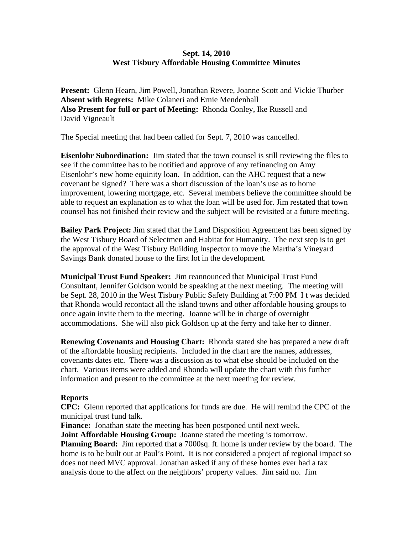## **Sept. 14, 2010 West Tisbury Affordable Housing Committee Minutes**

**Present:** Glenn Hearn, Jim Powell, Jonathan Revere, Joanne Scott and Vickie Thurber **Absent with Regrets:** Mike Colaneri and Ernie Mendenhall **Also Present for full or part of Meeting:** Rhonda Conley, Ike Russell and David Vigneault

The Special meeting that had been called for Sept. 7, 2010 was cancelled.

**Eisenlohr Subordination:** Jim stated that the town counsel is still reviewing the files to see if the committee has to be notified and approve of any refinancing on Amy Eisenlohr's new home equinity loan. In addition, can the AHC request that a new covenant be signed? There was a short discussion of the loan's use as to home improvement, lowering mortgage, etc. Several members believe the committee should be able to request an explanation as to what the loan will be used for. Jim restated that town counsel has not finished their review and the subject will be revisited at a future meeting.

**Bailey Park Project:** Jim stated that the Land Disposition Agreement has been signed by the West Tisbury Board of Selectmen and Habitat for Humanity. The next step is to get the approval of the West Tisbury Building Inspector to move the Martha's Vineyard Savings Bank donated house to the first lot in the development.

**Municipal Trust Fund Speaker:** Jim reannounced that Municipal Trust Fund Consultant, Jennifer Goldson would be speaking at the next meeting. The meeting will be Sept. 28, 2010 in the West Tisbury Public Safety Building at 7:00 PM I t was decided that Rhonda would recontact all the island towns and other affordable housing groups to once again invite them to the meeting. Joanne will be in charge of overnight accommodations. She will also pick Goldson up at the ferry and take her to dinner.

**Renewing Covenants and Housing Chart:** Rhonda stated she has prepared a new draft of the affordable housing recipients. Included in the chart are the names, addresses, covenants dates etc. There was a discussion as to what else should be included on the chart. Various items were added and Rhonda will update the chart with this further information and present to the committee at the next meeting for review.

## **Reports**

**CPC:** Glenn reported that applications for funds are due. He will remind the CPC of the municipal trust fund talk.

**Finance:** Jonathan state the meeting has been postponed until next week. **Joint Affordable Housing Group:** Joanne stated the meeting is tomorrow. **Planning Board:** Jim reported that a 7000sq. ft. home is under review by the board. The home is to be built out at Paul's Point. It is not considered a project of regional impact so does not need MVC approval. Jonathan asked if any of these homes ever had a tax analysis done to the affect on the neighbors' property values. Jim said no. Jim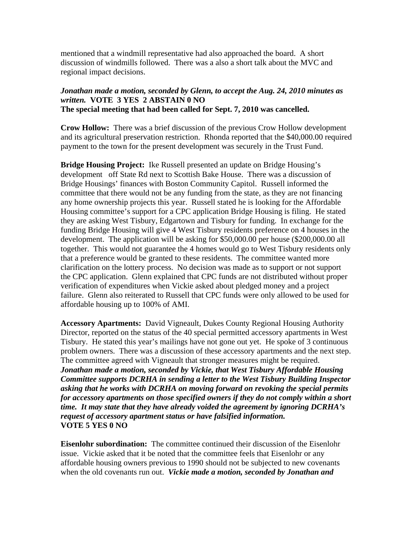mentioned that a windmill representative had also approached the board. A short discussion of windmills followed. There was a also a short talk about the MVC and regional impact decisions.

## *Jonathan made a motion, seconded by Glenn, to accept the Aug. 24, 2010 minutes as written.* **VOTE 3 YES 2 ABSTAIN 0 NO The special meeting that had been called for Sept. 7, 2010 was cancelled.**

**Crow Hollow:** There was a brief discussion of the previous Crow Hollow development and its agricultural preservation restriction. Rhonda reported that the \$40,000.00 required payment to the town for the present development was securely in the Trust Fund.

**Bridge Housing Project:** Ike Russell presented an update on Bridge Housing's development off State Rd next to Scottish Bake House. There was a discussion of Bridge Housings' finances with Boston Community Capitol. Russell informed the committee that there would not be any funding from the state, as they are not financing any home ownership projects this year. Russell stated he is looking for the Affordable Housing committee's support for a CPC application Bridge Housing is filing. He stated they are asking West Tisbury, Edgartown and Tisbury for funding. In exchange for the funding Bridge Housing will give 4 West Tisbury residents preference on 4 houses in the development. The application will be asking for \$50,000.00 per house (\$200,000.00 all together. This would not guarantee the 4 homes would go to West Tisbury residents only that a preference would be granted to these residents. The committee wanted more clarification on the lottery process. No decision was made as to support or not support the CPC application. Glenn explained that CPC funds are not distributed without proper verification of expenditures when Vickie asked about pledged money and a project failure. Glenn also reiterated to Russell that CPC funds were only allowed to be used for affordable housing up to 100% of AMI.

**Accessory Apartments:** David Vigneault, Dukes County Regional Housing Authority Director, reported on the status of the 40 special permitted accessory apartments in West Tisbury. He stated this year's mailings have not gone out yet. He spoke of 3 continuous problem owners. There was a discussion of these accessory apartments and the next step. The committee agreed with Vigneault that stronger measures might be required. *Jonathan made a motion, seconded by Vickie, that West Tisbury Affordable Housing Committee supports DCRHA in sending a letter to the West Tisbury Building Inspector asking that he works with DCRHA on moving forward on revoking the special permits for accessory apartments on those specified owners if they do not comply within a short time. It may state that they have already voided the agreement by ignoring DCRHA's request of accessory apartment status or have falsified information.* **VOTE 5 YES 0 NO** 

**Eisenlohr subordination:** The committee continued their discussion of the Eisenlohr issue. Vickie asked that it be noted that the committee feels that Eisenlohr or any affordable housing owners previous to 1990 should not be subjected to new covenants when the old covenants run out. *Vickie made a motion, seconded by Jonathan and*